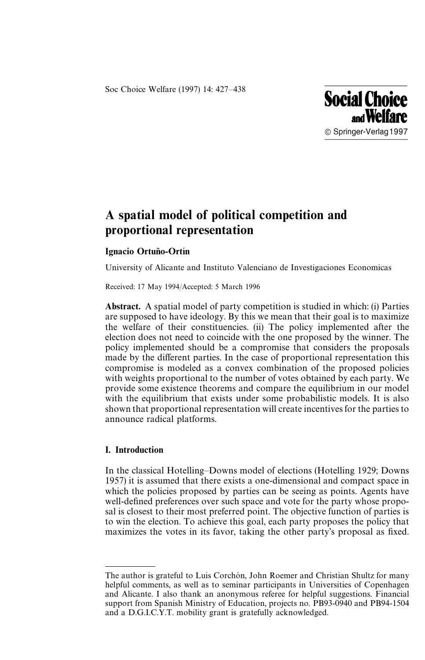Soc Choice Welfare (1997) 14: 427*—*438



# A spatial model of political competition and proportional representation

## Ignacio Ortuño-Ortín

University of Alicante and Instituto Valenciano de Investigaciones Economicas

Received: 17 May 1994/Accepted: 5 March 1996

Abstract. A spatial model of party competition is studied in which: (i) Parties are supposed to have ideology. By this we mean that their goal is to maximize the welfare of their constituencies. (ii) The policy implemented after the election does not need to coincide with the one proposed by the winner. The policy implemented should be a compromise that considers the proposals made by the different parties. In the case of proportional representation this compromise is modeled as a convex combination of the proposed policies with weights proportional to the number of votes obtained by each party. We provide some existence theorems and compare the equilibrium in our model with the equilibrium that exists under some probabilistic models. It is also shown that proportional representation will create incentives for the parties to announce radical platforms.

## I. Introduction

In the classical Hotelling*—*Downs model of elections (Hotelling 1929; Downs 1957) it is assumed that there exists a one-dimensional and compact space in which the policies proposed by parties can be seeing as points. Agents have well-defined preferences over such space and vote for the party whose proposal is closest to their most preferred point. The objective function of parties is to win the election. To achieve this goal, each party proposes the policy that maximizes the votes in its favor, taking the other party's proposal as fixed.

The author is grateful to Luis Corchón, John Roemer and Christian Shultz for many helpful comments, as well as to seminar participants in Universities of Copenhagen and Alicante. I also thank an anonymous referee for helpful suggestions. Financial support from Spanish Ministry of Education, projects no. PB93-0940 and PB94-1504 and a D.G.I.C.Y.T. mobility grant is gratefully acknowledged.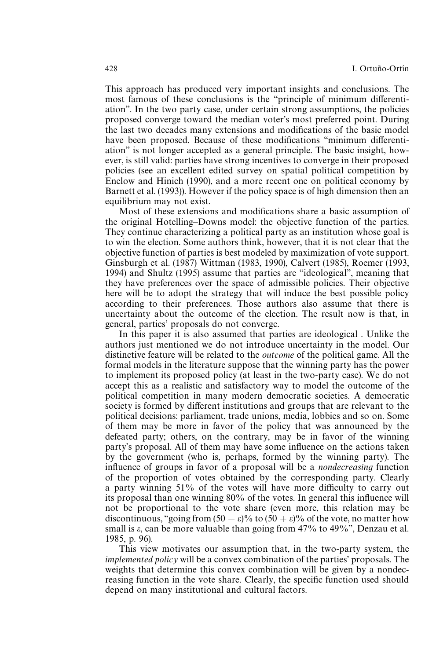This approach has produced very important insights and conclusions. The most famous of these conclusions is the ''principle of minimum differentiation''. In the two party case, under certain strong assumptions, the policies proposed converge toward the median voter's most preferred point. During the last two decades many extensions and modifications of the basic model have been proposed. Because of these modifications ''minimum differentiation'' is not longer accepted as a general principle. The basic insight, however, is still valid: parties have strong incentives to converge in their proposed policies (see an excellent edited survey on spatial political competition by Enelow and Hinich (1990), and a more recent one on political economy by Barnett et al. (1993)). However if the policy space is of high dimension then an equilibrium may not exist.

Most of these extensions and modifications share a basic assumption of the original Hotelling*—*Downs model: the objective function of the parties. They continue characterizing a political party as an institution whose goal is to win the election. Some authors think, however, that it is not clear that the objective function of parties is best modeled by maximization of vote support. Ginsburgh et al. (1987) Wittman (1983, 1990), Calvert (1985), Roemer (1993, 1994) and Shultz (1995) assume that parties are ''ideological'', meaning that they have preferences over the space of admissible policies. Their objective here will be to adopt the strategy that will induce the best possible policy according to their preferences. Those authors also assume that there is uncertainty about the outcome of the election. The result now is that, in general, parties' proposals do not converge.

In this paper it is also assumed that parties are ideological . Unlike the authors just mentioned we do not introduce uncertainty in the model. Our distinctive feature will be related to the *outcome* of the political game. All the formal models in the literature suppose that the winning party has the power to implement its proposed policy (at least in the two-party case). We do not accept this as a realistic and satisfactory way to model the outcome of the political competition in many modern democratic societies. A democratic society is formed by different institutions and groups that are relevant to the political decisions: parliament, trade unions, media, lobbies and so on. Some of them may be more in favor of the policy that was announced by the defeated party; others, on the contrary, may be in favor of the winning party's proposal. All of them may have some influence on the actions taken by the government (who is, perhaps, formed by the winning party). The influence of groups in favor of a proposal will be a *nondecreasing* function of the proportion of votes obtained by the corresponding party. Clearly a party winning 51% of the votes will have more difficulty to carry out its proposal than one winning 80% of the votes. In general this influence will not be proportional to the vote share (even more, this relation may be discontinuous, "going from  $(50 - \varepsilon)\%$  to  $(50 + \varepsilon)\%$  of the vote, no matter how small is  $\varepsilon$ , can be more valuable than going from 47% to 49%", Denzau et al. 1985, p. 96).

This view motivates our assumption that, in the two-party system, the *implemented policy* will be a convex combination of the parties' proposals. The weights that determine this convex combination will be given by a nondecreasing function in the vote share. Clearly, the specific function used should depend on many institutional and cultural factors.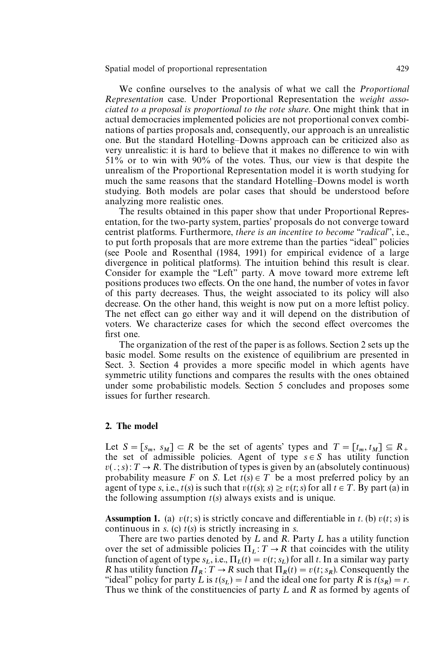We confine ourselves to the analysis of what we call the *Proportional Representation* case. Under Proportional Representation the *weight associated to a proposal is proportional to the vote share*. One might think that in actual democracies implemented policies are not proportional convex combinations of parties proposals and, consequently, our approach is an unrealistic one. But the standard Hotelling*—*Downs approach can be criticized also as very unrealistic: it is hard to believe that it makes no difference to win with 51% or to win with 90% of the votes. Thus, our view is that despite the unrealism of the Proportional Representation model it is worth studying for much the same reasons that the standard Hotelling*—*Downs model is worth studying. Both models are polar cases that should be understood before analyzing more realistic ones.

The results obtained in this paper show that under Proportional Representation, for the two-party system, parties' proposals do not converge toward centrist platforms. Furthermore, *there is an incentive to become* ''*radical*'', i.e., to put forth proposals that are more extreme than the parties ''ideal'' policies (see Poole and Rosenthal (1984, 1991) for empirical evidence of a large divergence in political platforms). The intuition behind this result is clear. Consider for example the ''Left'' party. A move toward more extreme left positions produces two effects. On the one hand, the number of votes in favor of this party decreases. Thus, the weight associated to its policy will also decrease. On the other hand, this weight is now put on a more leftist policy. The net effect can go either way and it will depend on the distribution of voters. We characterize cases for which the second effect overcomes the first one.

The organization of the rest of the paper is as follows. Section 2 sets up the basic model. Some results on the existence of equilibrium are presented in Sect. 3. Section 4 provides a more specific model in which agents have symmetric utility functions and compares the results with the ones obtained under some probabilistic models. Section 5 concludes and proposes some issues for further research.

#### 2. The model

Let  $S = [s_m, s_M] \subset R$  be the set of agents' types and  $T = [t_m, t_M] \subseteq R$ <sup>+</sup> the set of admissible policies. Agent of type  $s \in S$  has utility function  $v(.; s)$ :  $T \rightarrow R$ . The distribution of types is given by an (absolutely continuous) probability measure *F* on *S*. Let  $t(s) \in T$  be a most preferred policy by an agent of type *s*, i.e.,  $t(s)$  is such that  $v(t(s); s) \ge v(t; s)$  for all  $t \in T$ . By part (a) in the following assumption *t*(*s*) always exists and is unique.

**Assumption 1.** (a)  $v(t; s)$  is strictly concave and differentiable in *t*. (b)  $v(t; s)$  is continuous in *s*. (c) *t*(*s*) is strictly increasing in *s*.

There are two parties denoted by  $L$  and  $R$ . Party  $L$  has a utility function over the set of admissible policies  $\Pi_L: T \to R$  that coincides with the utility function of agent of type  $s_L$ , i.e.,  $\Pi_L(t) = v(t; s_L)$  for all *t*. In a similar way party *R* has utility function  $\Pi_R$ :  $T \to R$  such that  $\Pi_R(t) = v(t; s_R)$ . Consequently the "ideal" policy for party  $\hat{L}$  is  $t(s_L) = l$  and the ideal one for party  $\hat{R}$  is  $t(s_R) = r$ . Thus we think of the constituencies of party  $L$  and  $R$  as formed by agents of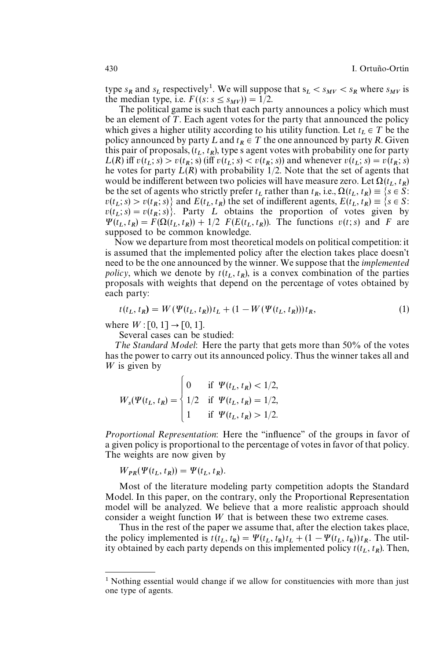type  $s_R$  and  $s_L$  respectively<sup>1</sup>. We will suppose that  $s_L < s_{MV} < s_R$  where  $s_{MV}$  is the median type, i.e.  $F((s: s \le s_{MV})) = 1/2$ .

The political game is such that each party announces a policy which must be an element of  $T$ . Each agent votes for the party that announced the policy which gives a higher utility according to his utility function. Let  $t_L \in T$  be the policy announced by party L and  $t_R \in T$  the one announced by party R. Given this pair of proposals,  $(t_L, t_R)$ , type s agent votes with probability one for party  $L(R)$  iff  $v(t_L; s) > v(t_R; s)$  (iff  $v(t_L; s) < v(t_R; s)$ ) and whenever  $v(t_L; s) = v(t_R; s)$ he votes for party  $\hat{L(R)}$  with probability  $\hat{1}/2$ . Note that the set of agents that would be indifferent between two policies will have measure zero. Let  $\Omega(t_L, t_R)$ be the set of agents who strictly prefer  $t_L$  rather than  $t_R$ , i.e.,  $\Omega(t_L, t_R) \equiv \{ s \in \overline{S} :$  $v(t_L; s) > v(t_R; s)$  and  $E(t_L, t_R)$  the set of indifferent agents,  $E(t_L, t_R) \equiv \{s \in S:$  $v(t_L; s) = v(t_R; s)$ . Party *L* obtains the proportion of votes given by  $\Psi(t_L, t_R) = F(\Omega(t_L, t_R)) + 1/2$  *F*(*E*(*t*<sub>L</sub>, *t*<sub>R</sub>)). The functions *v*(*t*; *s*) and *F* are supposed to be common knowledge.

Now we departure from most theoretical models on political competition: it is assumed that the implemented policy after the election takes place doesn't need to be the one announced by the winner. We suppose that the *implemented policy*, which we denote by  $t(t_L, t_R)$ , is a convex combination of the parties proposals with weights that depend on the percentage of votes obtained by each party:

$$
t(t_L, t_R) = W(\Psi(t_L, t_R))t_L + (1 - W(\Psi(t_L, t_R)))t_R,
$$
\n(1)

where  $W : [0, 1] \to [0, 1].$ 

Several cases can be studied:

The Standard Model: Here the party that gets more than 50% of the votes has the power to carry out its announced policy. Thus the winner takes all and W is given by

$$
W_s(\Psi(t_L, t_R) = \begin{cases} 0 & \text{if } \Psi(t_L, t_R) < 1/2, \\ 1/2 & \text{if } \Psi(t_L, t_R) = 1/2, \\ 1 & \text{if } \Psi(t_L, t_R) > 1/2. \end{cases}
$$

*Proportional Representation*: Here the ''influence'' of the groups in favor of a given policy is proportional to the percentage of votes in favor of that policy. The weights are now given by

$$
W_{PR}(\Psi(t_L, t_R)) = \Psi(t_L, t_R).
$$

Most of the literature modeling party competition adopts the Standard Model. In this paper, on the contrary, only the Proportional Representation model will be analyzed. We believe that a more realistic approach should consider a weight function  $W$  that is between these two extreme cases.

Thus in the rest of the paper we assume that, after the election takes place, the policy implemented is  $t(t_L, t_R) = \Psi(t_L, t_R)t_L + (1 - \Psi(t_L, t_R))t_R$ . The util-<br>its aktivistic largest nearly denoted with interest due line (*t*). Then ity obtained by each party depends on this implemented policy  $t(t_L, t_R)$ . Then,

<sup>&</sup>lt;sup>1</sup> Nothing essential would change if we allow for constituencies with more than just one type of agents.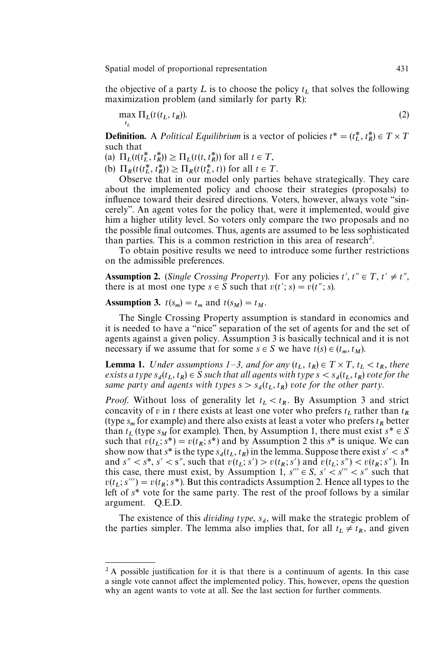the objective of a party  $L$  is to choose the policy  $t_L$  that solves the following maximization problem (and similarly for party R):

$$
\max_{t_L} \Pi_L(t(t_L, t_R)).
$$
\n(2)

**Definition.** A *Political Equilibrium* is a vector of policies  $t^* = (t_L^*, t_R^*) \in T \times T$ such that

(a)  $\Pi_L(t(t_L^*, t_R^*)) \ge \Pi_L(t(t, t_R^*))$  for all  $t \in T$ ,

(b)  $\Pi_R(t(t_L^*, t_R^*)) \geq \Pi_R(t(t_L^*, t))$  for all  $t \in T$ .

 Observe that in our model only parties behave strategically. They care about the implemented policy and choose their strategies (proposals) to influence toward their desired directions. Voters, however, always vote ''sincerely''. An agent votes for the policy that, were it implemented, would give him a higher utility level. So voters only compare the two proposals and no the possible final outcomes. Thus, agents are assumed to be less sophisticated than parties. This is a common restriction in this area of research<sup>2</sup>.

To obtain positive results we need to introduce some further restrictions on the admissible preferences.

**Assumption 2.** (*Single Crossing Property*). For any policies  $t', t'' \in T, t' \neq t''$ , there is at most one type  $s \in S$  such that  $v(t'; s) = v(t''; s)$ .

# Assumption 3.  $t(s_m) = t_m$  and  $t(s_M) = t_M$ .

The Single Crossing Property assumption is standard in economics and it is needed to have a ''nice'' separation of the set of agents for and the set of agents against a given policy. Assumption 3 is basically technical and it is not necessary if we assume that for some  $s \in S$  we have  $t(s) \in (t_m, t_M)$ .

**Lemma 1.** Under assumptions  $1-3$ , and for any  $(t_L, t_R) \in T \times T$ ,  $t_L < t_R$ , there *exists a type*  $s_d(t_L, t_R) \in \hat{S}$  such that all agents with type  $s < s_d(t_L, t_R)$  vote for the same party and agents with types  $s > s_d(t_L, t_R)$  vote for the other party.

*Proof.* Without loss of generality let  $t_L < t_R$ . By Assumption 3 and strict concavity of *v* in *t* there exists at least one voter who prefers  $t_L$  rather than  $t_R$ (type  $s_m$  for example) and there also exists at least a voter who prefers  $t_R$  better than  $t_L$  (type  $s_M$  for example). Then, by Assumption 1, there must exist  $s^* \in S$ such that  $v(t_L; s^*) = v(t_R; s^*)$  and by Assumption 2 this  $s^*$  is unique. We can show now that  $s^*$  is the type  $s_d(t_L, t_R)$  in the lemma. Suppose there exist  $s' < s^*$ and  $s'' < s^*$ ,  $s' < s''$ , such that  $v(t_L; s') > v(t_R; s')$  and  $v(t_L; s'') < v(t_R; s'')$ . In this case, there must exist, by Assumption 1,  $s''' \in S$ ,  $s' \leq s''' \leq s''$  such that  $v(t_L; s^{\prime\prime\prime}) = v(t_R; s^*)$ . But this contradicts Assumption 2. Hence all types to the left of *s\** vote for the same party. The rest of the proof follows by a similar argument. Q.E.D.

The existence of this *dividing type*,  $s_d$ , will make the strategic problem of the parties simpler. The lemma also implies that, for all  $t_L \neq t_R$ , and given

<sup>&</sup>lt;sup>2</sup> A possible justification for it is that there is a continuum of agents. In this case a single vote cannot affect the implemented policy. This, however, opens the question why an agent wants to vote at all. See the last section for further comments.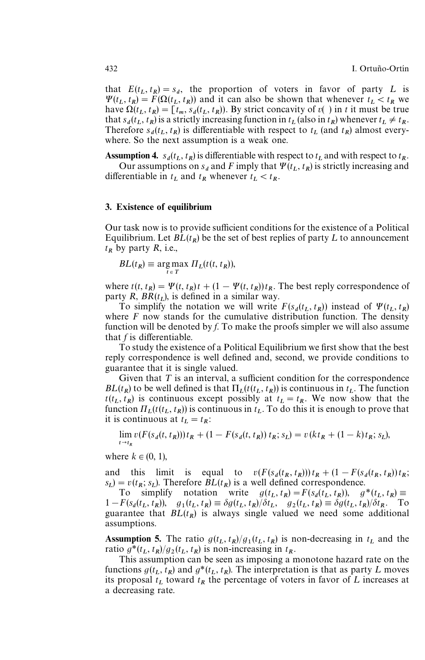that  $E(t_L, t_R) = s_d$ , the proportion of voters in favor of party L is  $\Psi(t_L, t_R) = F(\Omega(t_L, t_R))$  and it can also be shown that whenever  $t_L < t_R$  we have  $\Omega(t_L, t_R) = [t_m, s_d(t_L, t_R)]$ . By strict concavity of *v*( ) in *t* it must be true that  $s_d(t_L, t_R)$  is a strictly increasing function in  $t_L$  (also in  $t_R$ ) whenever  $t_L \neq t_R$ . Therefore  $s_d(t_L, t_R)$  is differentiable with respect to  $t_L$  (and  $t_R$ ) almost every-where. So the next assumption is a weak one.

Assumption 4.  $s_d(t_L, t_R)$  is differentiable with respect to  $t_L$  and with respect to  $t_R$ .

Our assumptions on  $s_d$  and *F* imply that  $\Psi(t_L, t_R)$  is strictly increasing and differentiable in  $t_L$  and  $t_R$  whenever  $t_L < t_R$ .

#### 3. Existence of equilibrium

Our task now is to provide sufficient conditions for the existence of a Political Equilibrium. Let  $BL(t_R)$  be the set of best replies of party L to announcement  $t_R$  by party *R*, i.e.,

$$
BL(t_R) \equiv \underset{t \in T}{\arg \max} \; \Pi_L(t(t, t_R)),
$$

where  $t(t, t_R) = \Psi(t, t_R)t + (1 - \Psi(t, t_R))t_R$ . The best reply correspondence of party  $\overrightarrow{R}$ ,  $\overrightarrow{BR}(t_L)$ , is defined in a similar way.

To simplify the notation we will write  $F(s_d(t_L, t_R))$  instead of  $\Psi(t_L, t_R)$ where  $F$  now stands for the cumulative distribution function. The density function will be denoted by *f*. To make the proofs simpler we will also assume that *f* is differentiable.

To study the existence of a Political Equilibrium we first show that the best reply correspondence is well defined and, second, we provide conditions to guarantee that it is single valued.

Given that  $T$  is an interval, a sufficient condition for the correspondence *BL*( $t_R$ ) to be well defined is that  $\Pi_L(t(t_L, t_R))$  is continuous in  $t_L$ . The function  $t(t_L, t_R)$  is continuous except possibly at  $t_L = t_R$ . We now show that the function  $\Pi_L(t(t_L, t_R))$  is continuous in  $t_L$ . To do this it is enough to prove that it is continuous at  $t_L = t_R$ .

$$
\lim_{t \to t_R} v(F(s_d(t, t_R))) t_R + (1 - F(s_d(t, t_R)) t_R; s_L) = v(kt_R + (1 - k)t_R; s_L),
$$

where  $k \in (0, 1)$ ,

and this limit is equal to  $v(F(s_d(t_R, t_R)))t_R + (1 - F(s_d(t_R, t_R))t_R;$  $s_L$ ) =  $v(t_R; s_L)$ . Therefore *BL*( $t_R$ ) is a well defined correspondence.

To simplify notation write  $g(t_L, t_R) = F(s_d(t_L, t_R))$ ,  $g^*(t_L, t_R) \equiv$  $1 - F(s_d(t_L, t_R))$ ,  $g_1(t_L, t_R) = \delta g(t_L, t_R)/\delta t_L$ ,  $g_2(t_L, t_R) = \delta g(t_L, t_R)/\delta t_R$ . To guarantee that  $BL(t_R)$  is always single valued we need some additional assumptions.

Assumption 5. The ratio  $g(t_L, t_R)/g_1(t_L, t_R)$  is non-decreasing in  $t_L$  and the ratio  $g^*(t_L, t_R)/g_2(t_L, t_R)$  is non-increasing in  $t_R$ .

 This assumption can be seen as imposing a monotone hazard rate on the functions  $g(t_L, t_R)$  and  $g^*(t_L, t_R)$ . The interpretation is that as party L moves its proposal  $t_L$  toward  $t_R$  the percentage of voters in favor of  $L$  increases at a decreasing rate.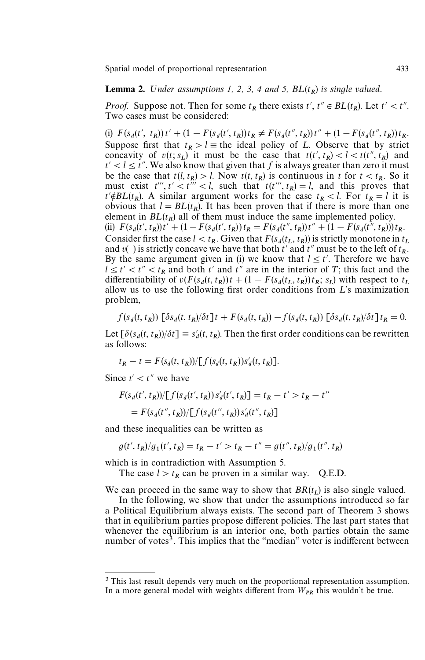## **Lemma 2.** Under assumptions 1, 2, 3, 4 and 5,  $BL(t_R)$  is single valued.

*Proof.* Suppose not. Then for some  $t_R$  there exists  $t'$ ,  $t'' \in BL(t_R)$ . Let  $t' < t''$ . Two cases must be considered:

(i)  $F(s_d(t', t_R))t' + (1 - F(s_d(t', t_R))t_R \neq F(s_d(t'', t_R))t'' + (1 - F(s_d(t'', t_R))t_R$ . Suppose first that  $t_R > l$   $\equiv$  the ideal policy of *L*. Observe that by strict concavity of  $v(t; s_L)$  it must be the case that  $t(t', t_R) < l < t(t'', t_R)$  and  $t' < l \le t''$ . We also know that given that f is always greater than zero it must be the case that  $t(l, t_R) > l$ . Now  $t(t, t_R)$  is continuous in  $t$  for  $t < t_R$ . So it must exist  $t'''$ ,  $t' < t''' < l$ , such that  $t(t''', t_R) = l$ , and this proves that  $t' \notin BL(t_R)$ . A similar argument works for the case  $t_R < l$ . For  $t_R = l$  it is obvious that  $l = BL(t_R)$ . It has been proven that if there is more than one element in  $BL(t_R)$  all of them must induce the same implemented policy. (ii)  $F(s_d(t', t_R))t' + (1 - F(s_d(t', t_R))t_R = F(s_d(t'', t_R))t'' + (1 - F(s_d(t'', t_R)))t_R$ . Consider first the case  $l < t_R$ . Given that  $F(s_d(t_L, t_R))$  is strictly monotone in  $t_L$ and  $v()$  is strictly concave we have that both  $t'$  and  $t''$  must be to the left of  $t_R$ . By the same argument given in (i) we know that  $l \le t'$ . Therefore we have  $l \le t' < t'' < t_R$  and both  $t'$  and  $t''$  are in the interior of *T*; this fact and the differentiability of  $v(F(s_d(t, t_R))t + (1 - F(s_d(t_L, t_R))t_R; s_L)$  with respect to  $t_L$ allow us to use the following first order conditions from  $L$ 's maximization problem,

$$
f(s_d(t, t_R)) \left[ \delta s_d(t, t_R) / \delta t \right] t + F(s_d(t, t_R)) - f(s_d(t, t_R)) \left[ \delta s_d(t, t_R) / \delta t \right] t_R = 0.
$$

Let  $\left[\delta(s_d(t, t_R))/\delta t\right] \equiv s_d'(t, t_R)$ . Then the first order conditions can be rewritten as follows:

$$
t_R - t = F(s_d(t, t_R)) / \big[ f(s_d(t, t_R)) s'_d(t, t_R) \big].
$$

Since  $t' < t''$  we have

$$
F(s_d(t', t_R))/[f(s_d(t', t_R))s_d'(t', t_R)] = t_R - t' > t_R - t''
$$
  
=  $F(s_d(t'', t_R))/[f(s_d(t'', t_R))s_d'(t'', t_R)]$ 

and these inequalities can be written as

$$
g(t', t_R)/g_1(t', t_R) = t_R - t' > t_R - t'' = g(t'', t_R)/g_1(t'', t_R)
$$

which is in contradiction with Assumption 5.

The case  $l > t_R$  can be proven in a similar way. Q.E.D.

We can proceed in the same way to show that  $BR(t_L)$  is also single valued.

 In the following, we show that under the assumptions introduced so far a Political Equilibrium always exists. The second part of Theorem 3 shows that in equilibrium parties propose different policies. The last part states that whenever the equilibrium is an interior one, both parties obtain the same number of votes<sup>3</sup>. This implies that the "median" voter is indifferent between

<sup>&</sup>lt;sup>3</sup> This last result depends very much on the proportional representation assumption. In a more general model with weights different from  $W_{PR}$  this wouldn't be true.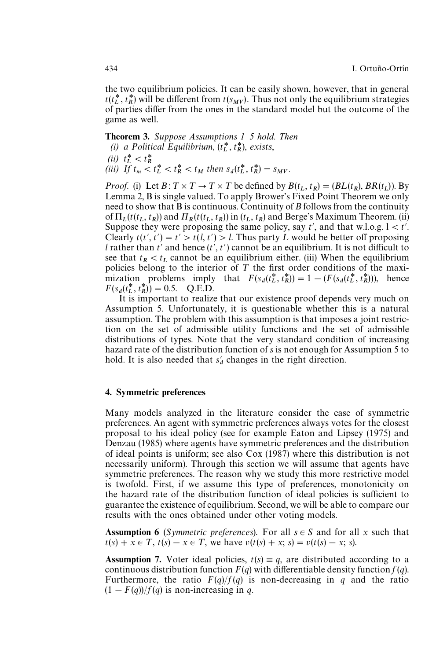the two equilibrium policies. It can be easily shown, however, that in general  $t(t_L^*, t_R^*)$  will be different from  $t(s_{MV})$ . Thus not only the equilibrium strategies of parties differ from the ones in the standard model but the outcome of the game as well.

## Theorem 3. *Suppose Assumptions 1—5 hold. Then (i) a Political Equilibrium,*  $(t_L^*, t_R^*)$ , *exists,*

 $(iii)$   $t_L^* < t_R^*$ *(iii) If*  $t_m < t_L^* < t_R^* < t_M$  then  $s_d(t_L^*, t_R^*) = s_{MV}$ .

*Proof.* (i) Let  $B: T \times T \rightarrow T \times T$  be defined by  $B(t_L, t_R) = (BL(t_R), BR(t_L))$ . By Lemma 2, B is single valued. To apply Brower's Fixed Point Theorem we only need to show that B is continuous. Continuity of *B* follows from the continuity of  $\Pi_L(t(t_L, t_R))$  and  $\Pi_R(t(t_L, t_R))$  in  $(t_L, t_R)$  and Berge's Maximum Theorem. (ii) Suppose they were proposing the same policy, say  $t'$ , and that w.l.o.g.  $1 < t'$ . Clearly  $t(t', t') = t' > t(l, t') > l$ . Thus party L would be better off proposing *l* rather than  $t'$  and hence  $(t', t')$  cannot be an equilibrium. It is not difficult to see that  $t_R < t_L$  cannot be an equilibrium either. (iii) When the equilibrium policies belong to the interior of  $T$  the first order conditions of the maximization problems imply that  $F(s_d(t_L^*, t_R^*)) = 1 - (F(s_d(t_L^*, t_R^*)))$ , hence  $F(s_d(t_L^*, t_R^*)) = 0.5.$  Q.E.D.

 It is important to realize that our existence proof depends very much on Assumption 5. Unfortunately, it is questionable whether this is a natural assumption. The problem with this assumption is that imposes a joint restriction on the set of admissible utility functions and the set of admissible distributions of types. Note that the very standard condition of increasing hazard rate of the distribution function of *s* is not enough for Assumption 5 to hold. It is also needed that  $s_d$  changes in the right direction.

### 4. Symmetric preferences

Many models analyzed in the literature consider the case of symmetric preferences. An agent with symmetric preferences always votes for the closest proposal to his ideal policy (see for example Eaton and Lipsey (1975) and Denzau (1985) where agents have symmetric preferences and the distribution of ideal points is uniform; see also Cox (1987) where this distribution is not necessarily uniform). Through this section we will assume that agents have symmetric preferences. The reason why we study this more restrictive model is twofold. First, if we assume this type of preferences, monotonicity on the hazard rate of the distribution function of ideal policies is sufficient to guarantee the existence of equilibrium. Second, we will be able to compare our results with the ones obtained under other voting models.

**Assumption 6** (*Symmetric preferences*). For all  $s \in S$  and for all *x* such that  $t(s) + x \in T$ ,  $t(s) - x \in T$ , we have  $v(t(s) + x; s) = v(t(s) - x; s)$ .

**Assumption 7.** Voter ideal policies,  $t(s) \equiv q$ , are distributed according to a continuous distribution function  $F(q)$  with differentiable density function  $f(q)$ . Furthermore, the ratio  $F(q)/f(q)$  is non-decreasing in *q* and the ratio  $(1 - F(q))/f(q)$  is non-increasing in *q*.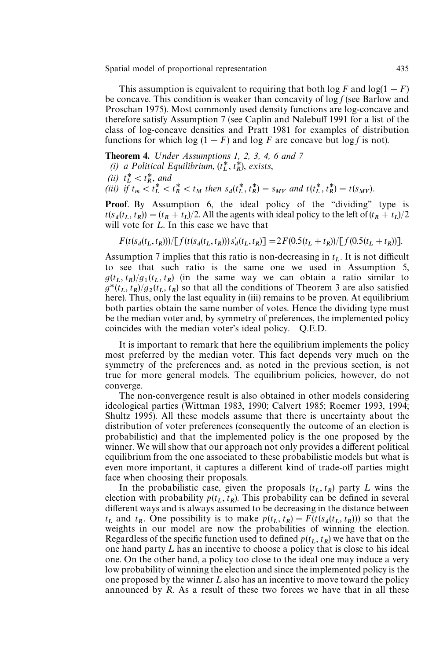This assumption is equivalent to requiring that both  $\log F$  and  $\log(1 - F)$ be concave. This condition is weaker than concavity of log *f* (see Barlow and Proschan 1975). Most commonly used density functions are log-concave and therefore satisfy Assumption 7 (see Caplin and Nalebuff 1991 for a list of the class of log-concave densities and Pratt 1981 for examples of distribution functions for which  $\log(1 - F)$  and  $\log F$  are concave but  $\log f$  is not).

**Theorem 4.** *Under Assumptions 1, 2, 3, 4, 6 and 7* 

*(i) a Political Equilibrium*,  $(t_L^*, t_R^*)$ , *exists*,

(ii) 
$$
t_L^* < t_R^*
$$
, and

(iii) if  $t_m < t_L^* < t_R^* < t_M$  then  $s_d(t_L^*, t_R^*) = s_{MV}$  and  $t(t_L^*, t_R^*) = t(s_{MV})$ .

Proof. By Assumption 6, the ideal policy of the "dividing" type is  $t(s_d(t_L, t_R)) = (t_R + t_L)/2$ . All the agents with ideal policy to the left of  $(t_R + t_L)/2$ will vote for  $L$ . In this case we have that

$$
F(t(s_d(t_L, t_R))) / [f(t(s_d(t_L, t_R))) s'_d(t_L, t_R)] = 2F(0.5(t_L + t_R)) / [f(0.5(t_L + t_R))].
$$

Assumption 7 implies that this ratio is non-decreasing in *t L*. It is not difficult to see that such ratio is the same one we used in Assumption 5,  $g(t_L, t_R)/g_1(t_L, t_R)$  (in the same way we can obtain a ratio similar to  $g(t_L, t_R)/g_1(t_L, t_R)$  (in the same way we can obtain a ratio similar to  $g^*(t_L, t_R)/g_2(t_L, t_R)$  so that all the conditions of Theorem 3 are also satisfied here). Thus, only the last equality in (iii) remains to be proven. At equilibrium both parties obtain the same number of votes. Hence the dividing type must be the median voter and, by symmetry of preferences, the implemented policy coincides with the median voter's ideal policy. Q.E.D.

It is important to remark that here the equilibrium implements the policy most preferred by the median voter. This fact depends very much on the symmetry of the preferences and, as noted in the previous section, is not true for more general models. The equilibrium policies, however, do not converge.

The non-convergence result is also obtained in other models considering ideological parties (Wittman 1983, 1990; Calvert 1985; Roemer 1993, 1994; Shultz 1995). All these models assume that there is uncertainty about the distribution of voter preferences (consequently the outcome of an election is probabilistic) and that the implemented policy is the one proposed by the winner. We will show that our approach not only provides a different political equilibrium from the one associated to these probabilistic models but what is even more important, it captures a different kind of trade-off parties might face when choosing their proposals.

In the probabilistic case, given the proposals  $(t_L, t_R)$  party L wins the election with probability  $p(t_L, t_R)$ . This probability can be defined in several different ways and is always assumed to be decreasing in the distance between *t*<sub>L</sub> and *t*<sub>R</sub>. One possibility is to make  $p(t_L, t_R) = F(t(s_d(t_L, t_R)))$  so that the weights in our model are now the probabilities of winning the election. Regardless of the specific function used to defined  $p(t_L, t_R)$  we have that on the one hand party  $L$  has an incentive to choose a policy that is close to his ideal one. On the other hand, a policy too close to the ideal one may induce a very low probability of winning the election and since the implemented policy is the one proposed by the winner  $L$  also has an incentive to move toward the policy announced by *R*. As a result of these two forces we have that in all these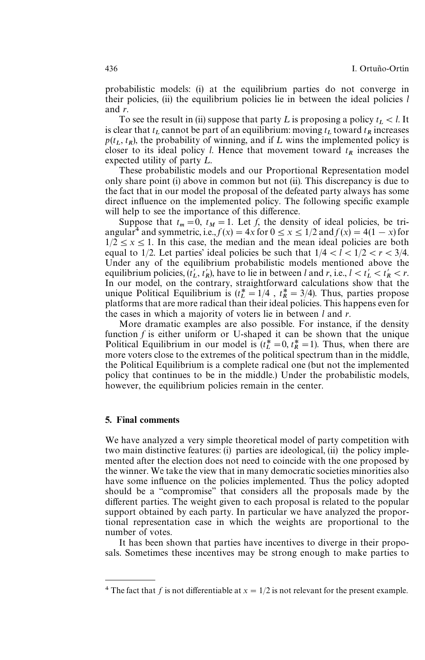probabilistic models: (i) at the equilibrium parties do not converge in their policies, (ii) the equilibrium policies lie in between the ideal policies *l* and *r*.

To see the result in (ii) suppose that party L is proposing a policy  $t_L < l$ . It is clear that  $t_L$  cannot be part of an equilibrium: moving  $t_L$  toward  $t_R$  increases  $p(t_L, t_R)$ , the probability of winning, and if L wins the implemented policy is closer to its ideal policy *l*. Hence that movement toward  $t_R$  increases the expected utility of party  $L$ .

These probabilistic models and our Proportional Representation model only share point (i) above in common but not (ii). This discrepancy is due to the fact that in our model the proposal of the defeated party always has some direct influence on the implemented policy. The following specific example will help to see the importance of this difference.

Suppose that  $t_m = 0$ ,  $t_M = 1$ . Let *f*, the density of ideal policies, be triangular<sup>4</sup> and symmetric, i.e.,  $f(x) = 4x$  for  $0 \le x \le 1/2$  and  $f(x) = 4(1 - x)$  for  $1/2 \leq x \leq 1$ . In this case, the median and the mean ideal policies are both equal to 1/2. Let parties' ideal policies be such that  $1/4 < l < 1/2 < r < 3/4$ . Under any of the equilibrium probabilistic models mentioned above the equilibrium policies,  $(\hat{t}_L', t_R')$ , have to lie in between *l* and *r*, i.e.,  $l < t_L' < t_R' < r$ . In our model, on the contrary, straightforward calculations show that the unique Political Equilibrium is  $(t_L^* = 1/4, t_R^* = 3/4)$ . Thus, parties propose platforms that are more radical than their ideal policies. This happens even for the cases in which a majority of voters lie in between *l* and *r*.

More dramatic examples are also possible. For instance, if the density function  $f$  is either uniform or U-shaped it can be shown that the unique Political Equilibrium in our model is  $(t_L^* = 0, t_R^* = 1)$ . Thus, when there are more voters close to the extremes of the political spectrum than in the middle, the Political Equilibrium is a complete radical one (but not the implemented policy that continues to be in the middle.) Under the probabilistic models, however, the equilibrium policies remain in the center.

#### 5. Final comments

We have analyzed a very simple theoretical model of party competition with two main distinctive features: (i) parties are ideological, (ii) the policy implemented after the election does not need to coincide with the one proposed by the winner. We take the view that in many democratic societies minorities also have some influence on the policies implemented. Thus the policy adopted should be a ''compromise'' that considers all the proposals made by the different parties. The weight given to each proposal is related to the popular support obtained by each party. In particular we have analyzed the proportional representation case in which the weights are proportional to the number of votes.

It has been shown that parties have incentives to diverge in their proposals. Sometimes these incentives may be strong enough to make parties to

<sup>&</sup>lt;sup>4</sup> The fact that *f* is not differentiable at  $x = 1/2$  is not relevant for the present example.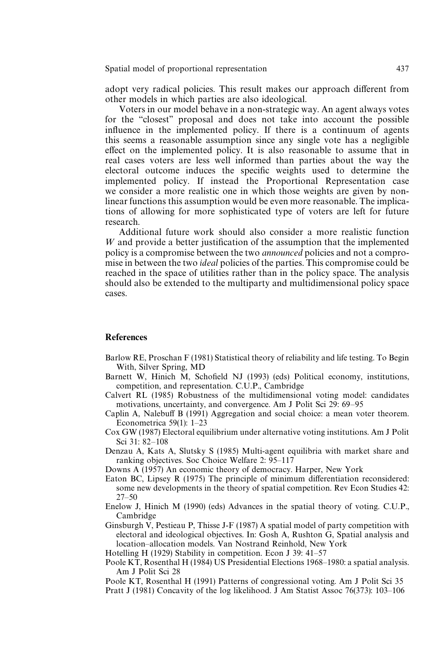adopt very radical policies. This result makes our approach different from other models in which parties are also ideological.

Voters in our model behave in a non-strategic way. An agent always votes for the ''closest'' proposal and does not take into account the possible influence in the implemented policy. If there is a continuum of agents this seems a reasonable assumption since any single vote has a negligible effect on the implemented policy. It is also reasonable to assume that in real cases voters are less well informed than parties about the way the electoral outcome induces the specific weights used to determine the implemented policy. If instead the Proportional Representation case we consider a more realistic one in which those weights are given by nonlinear functions this assumption would be even more reasonable. The implications of allowing for more sophisticated type of voters are left for future research.

Additional future work should also consider a more realistic function W and provide a better justification of the assumption that the implemented policy is a compromise between the two *announced* policies and not a compromise in between the two *ideal* policies of the parties. This compromise could be reached in the space of utilities rather than in the policy space. The analysis should also be extended to the multiparty and multidimensional policy space cases.

#### **References**

- Barlow RE, Proschan F (1981) Statistical theory of reliability and life testing. To Begin With, Silver Spring, MD
- Barnett W, Hinich M, Schofield NJ (1993) (eds) Political economy, institutions, competition, and representation. C.U.P., Cambridge
- Calvert RL (1985) Robustness of the multidimensional voting model: candidates motivations, uncertainty, and convergence. Am J Polit Sci 29: 69*—*95
- Caplin A, Nalebuff B (1991) Aggregation and social choice: a mean voter theorem. Econometrica 59(1): 1*—*23
- Cox GW (1987) Electoral equilibrium under alternative voting institutions. Am J Polit Sci 31: 82*—*108
- Denzau A, Kats A, Slutsky S (1985) Multi-agent equilibria with market share and ranking objectives. Soc Choice Welfare 2: 95*—*117
- Downs A (1957) An economic theory of democracy. Harper, New York
- Eaton BC, Lipsey R (1975) The principle of minimum differentiation reconsidered: some new developments in the theory of spatial competition. Rev Econ Studies 42: 27*—*50
- Enelow J, Hinich M (1990) (eds) Advances in the spatial theory of voting. C.U.P., Cambridge
- Ginsburgh V, Pestieau P, Thisse J-F (1987) A spatial model of party competition with electoral and ideological objectives. In: Gosh A, Rushton G, Spatial analysis and location*—*allocation models. Van Nostrand Reinhold, New York

Hotelling H (1929) Stability in competition. Econ J 39: 41*—*57

- Poole KT, Rosenthal H (1984) US Presidential Elections 1968*—*1980: a spatial analysis. Am J Polit Sci 28
- Poole KT, Rosenthal H (1991) Patterns of congressional voting. Am J Polit Sci 35
- Pratt J (1981) Concavity of the log likelihood. J Am Statist Assoc 76(373): 103*—*106